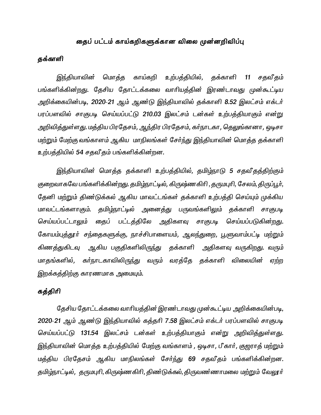# தைப் பட்டம் காய்கறிகளுக்கான விலை முன்னறிவிப்பு

# தக்காளி

இந்தியாவின் மொத்த காய்கறி உற்பத்தியில், தக்காளி 11 சதவீதம் பங்களிக்கின்றது. தேசிய தோட்டக்கலை வாரியத்தின் இரண்டாவது முன்கூட்டிய அறிக்கையின்படி, 2020-21 ஆம் ஆண்டு இந்தியாவில் தக்காளி 8.52 இலட்சம் எக்டர் பரப்பளவில் சாகுபடி செய்யப்பட்டு 210.03 இலட்சம் டன்கள் உற்பத்தியாகும் என்று அறிவித்துள்ளது. மத்திய பிரதேசம், ஆந்திர பிரதேசம், கர்நாடகா, தெலுங்கானா, ஒடிசா மற்றும் மேற்கு வங்காளம் ஆகிய மாநிலங்கள் சேர்ந்து இந்தியாவின் மொத்த தக்காளி உற்பத்தியில் 54 சதவீதம் பங்களிக்கின்றன.

இந்தியாவின் மொத்த தக்காளி உற்பத்தியில், தமிழ்நாடு 5 சதவீதத்திற்கும் குறைவாகவே பங்களிக்கின்றது. தமிழ்நாட்டில், கிருஷ்ணகிரி, தருமபுரி, சேலம், திருப்பூர், தேனி மற்றும் திண்டுக்கல் ஆகிய மாவட்டங்கள் தக்காளி உற்பத்தி செய்யும் முக்கிய மாவட்டங்களாகும். தமிழ்நாட்டில் அனைத்து பருவங்களிலும் தக்காளி சாகுபடி செய்யப்பட்டாலும் தைப் பட்டத்திலே அதிகளவு சாகுபடி செய்யப்படுகின்றது. கோயம்புத்தூா் சந்தைகளுக்கு, நாச்சிபாளையம், ஆலந்துறை, பூளுவாம்பட்டி மற்றும் கிணத்துகிடவு ஆகிய பகுதிகளிலிருந்து தக்காளி அதிகளவு வருகிறது. வரும் மாதங்களில், கர்நாடகாவிலிருந்து வரும் வரத்தே தக்காளி விலையின் ஏற்ற இறக்கத்திற்கு காரணமாக அமையும்.

# கத்திரி

தேசிய தோட்டக்கலை வாரியத்தின் இரண்டாவது முன்கூட்டிய அறிக்கையின்படி, 2020-21 ஆம் ஆண்டு இந்தியாவில் கத்தரி 7.58 இலட்சம் எக்டர் பரப்பளவில் சாகுபடி செய்யப்பட்டு 131.54 இலட்சம் டன்கள் உற்பத்தியாகும் என்று அறிவித்துள்ளது. இந்தியாவின் மொத்த உற்பத்தியில் மேற்கு வங்காளம் , ஒடிசா, பீகார், குஜராத் மற்றும் மத்திய பிரதேசம் ஆகிய மாநிலங்கள் சேர்ந்து 69 சதவீதம் பங்களிக்கின்றன. தமிழ்நாட்டில், தருமபுரி, கிருஷ்ணகிரி, திண்டுக்கல், திருவண்ணாமலை மற்றும் வேலூர்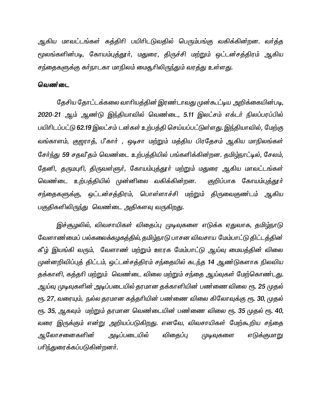ஆகிய மாவட்டங்கள் கத்திரி பயிரிடடுவதில் பெரும்பங்கு வகிக்கின்றன. வர்த்த மூலங்களின்படி, கோயம்புத்தூர், மதுரை, திருச்சி மற்றும் ஒட்டன்சத்திரம் ஆகிய சந்தைகளுக்கு கர்நாடகா மாநிலம் மைதூரிலிருந்தும் வரத்து உள்ளது.

### வெண்டை

தேசிய தோட்டக்கலை வாரியத்தின் இரண்டாவது முன்கூட்டிய அறிக்கையின்படி, 2020-21 ஆம் ஆண்டு இந்தியாவில் வெண்டை, 5.11 இலட்சம் எக்டர் நிலப்பரப்பில் பயிரிடப்பட்டு 62.19 இலட்சம் டன்கள் உற்பத்தி செய்யப்பட்டுள்ளது. இந்தியாவில், மேற்கு வங்காளம், குஜராத், பீகார் , ஒடிசா மற்றும் மத்திய பிரதேசம் ஆகிய மாநிலங்கள் சேர்ந்து 59 சதவீதம் வெண்டை உற்பத்தியில் பங்களிக்கின்றன. தமிழ்நாட்டில், சேலம், தேனி, தருமபுரி, திருவள்ளுர், கோயம்புத்தூர் மற்றும் மதுரை ஆகிய மாவட்டங்கள் வெண்டை உற்பத்தியில் முன்னிலை வகிக்கின்றன. குறிப்பாக கோயம்புத்தூர் சந்தைகளுக்கு, ஒட்டன்சத்திரம், பொள்ளாச்சி மற்றும் திருவைகுண்டம் ஆகிய பகுதிகளிலிருந்து வெண்டை அதிகளவு வருகிறது.

இச்சூழலில், விவசாயிகள் விதைப்பு முடிவுகளை எடுக்க ஏதுவாக, தமிழ்நாடு வேளாண்மைப் பல்கலைக்கழகத்தில், தமிழ்நாடு பாசன விவசாய மேம்பாட்டு திட்டத்தின் கீழ் இயங்கி வரும், வேளாண் மற்றும் ஊரக மேம்பாட்டு ஆய்வு மையத்தின் விலை முன்னறிவிப்புத் திட்டம், ஒட்டன்சத்திரம் சந்தையில் கடந்த 14 ஆண்டுகளாக நிலவிய தக்காளி, கத்தரி மற்றும் வெண்டை விலை மற்றும் சந்தை ஆய்வுகள் மேற்கொண்டது. ஆய்வு முடிவுகளின் அடிப்படையில் தரமான தக்காளியின் பண்ணை விலை ரூ. 25 முதல் ரூ. 27, வரையும், நல்ல தரமான கத்தரியின் பண்ணை விலை கிலோவுக்கு ரூ. 30, முதல் ரூ. 35, ஆகவும் மற்றும் தரமான வெண்டையின் பண்ணை விலை ரூ. 35 முதல் ரூ. 40, வரை இருக்கும் என்று அறியப்படுகிறது. எனவே, விவசாயிகள் மேற்கூறிய சந்தை ஆலோசனைகளின் அடிப்படையில் விதைப்பு முடிவுகளை எடுக்குமாறு பரிந்துரைக்கப்படுகின்றனர்.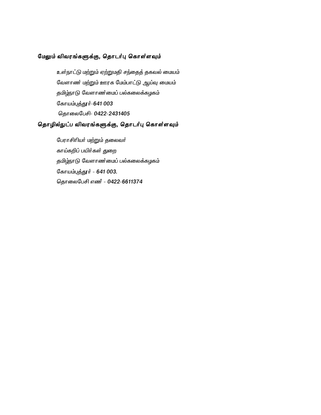### மேலும் விவரங்களுக்கு, தொடர்பு கொள்ளவும்

உள்நாட்டு மற்றும் ஏற்றுமதி சந்தைத் தகவல் மையம் வேளாண் மற்றும் ஊரக மேம்பாட்டு ஆய்வு மையம் தமிழ்நாடு வேளாண்மைப் பல்கலைக்கழகம் கோயம்புத்தூர்-641 003 தொலைபேசி- 0422-2431405

# தொழில்நுட்ப விவரங்களுக்கு, தொடர்பு கொள்ளவும்

பேராசிரியர் மற்றும் தலைவர் காய்கறிப் பயிர்கள் துறை தமிழ்நாடு வேளாண்மைப் பல்கலைக்கழகம் கோயம்புத்தூர் - 641 003. தொலைபேசி எண் - 0422-6611374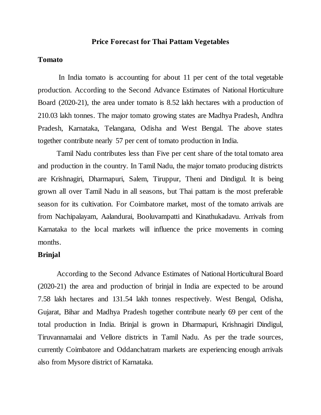## **Price Forecast for Thai Pattam Vegetables**

#### **Tomato**

In India tomato is accounting for about 11 per cent of the total vegetable production. According to the Second Advance Estimates of National Horticulture Board (2020-21), the area under tomato is 8.52 lakh hectares with a production of 210.03 lakh tonnes. The major tomato growing states are Madhya Pradesh, Andhra Pradesh, Karnataka, Telangana, Odisha and West Bengal. The above states together contribute nearly 57 per cent of tomato production in India.

Tamil Nadu contributes less than Five per cent share of the total tomato area and production in the country. In Tamil Nadu, the major tomato producing districts are Krishnagiri, Dharmapuri, Salem, Tiruppur, Theni and Dindigul. It is being grown all over Tamil Nadu in all seasons, but Thai pattam is the most preferable season for its cultivation. For Coimbatore market, most of the tomato arrivals are from Nachipalayam, Aalandurai, Booluvampatti and Kinathukadavu. Arrivals from Karnataka to the local markets will influence the price movements in coming months.

## **Brinjal**

According to the Second Advance Estimates of National Horticultural Board (2020-21) the area and production of brinjal in India are expected to be around 7.58 lakh hectares and 131.54 lakh tonnes respectively. West Bengal, Odisha, Gujarat, Bihar and Madhya Pradesh together contribute nearly 69 per cent of the total production in India. Brinjal is grown in Dharmapuri, Krishnagiri Dindigul, Tiruvannamalai and Vellore districts in Tamil Nadu. As per the trade sources, currently Coimbatore and Oddanchatram markets are experiencing enough arrivals also from Mysore district of Karnataka.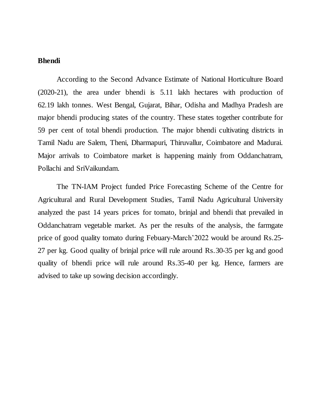## **Bhendi**

According to the Second Advance Estimate of National Horticulture Board (2020-21), the area under bhendi is 5.11 lakh hectares with production of 62.19 lakh tonnes. West Bengal, Gujarat, Bihar, Odisha and Madhya Pradesh are major bhendi producing states of the country. These states together contribute for 59 per cent of total bhendi production. The major bhendi cultivating districts in Tamil Nadu are Salem, Theni, Dharmapuri, Thiruvallur, Coimbatore and Madurai. Major arrivals to Coimbatore market is happening mainly from Oddanchatram, Pollachi and SriVaikundam.

The TN-IAM Project funded Price Forecasting Scheme of the Centre for Agricultural and Rural Development Studies, Tamil Nadu Agricultural University analyzed the past 14 years prices for tomato, brinjal and bhendi that prevailed in Oddanchatram vegetable market. As per the results of the analysis, the farmgate price of good quality tomato during Febuary-March'2022 would be around Rs.25- 27 per kg. Good quality of brinjal price will rule around Rs.30-35 per kg and good quality of bhendi price will rule around Rs.35-40 per kg. Hence, farmers are advised to take up sowing decision accordingly.